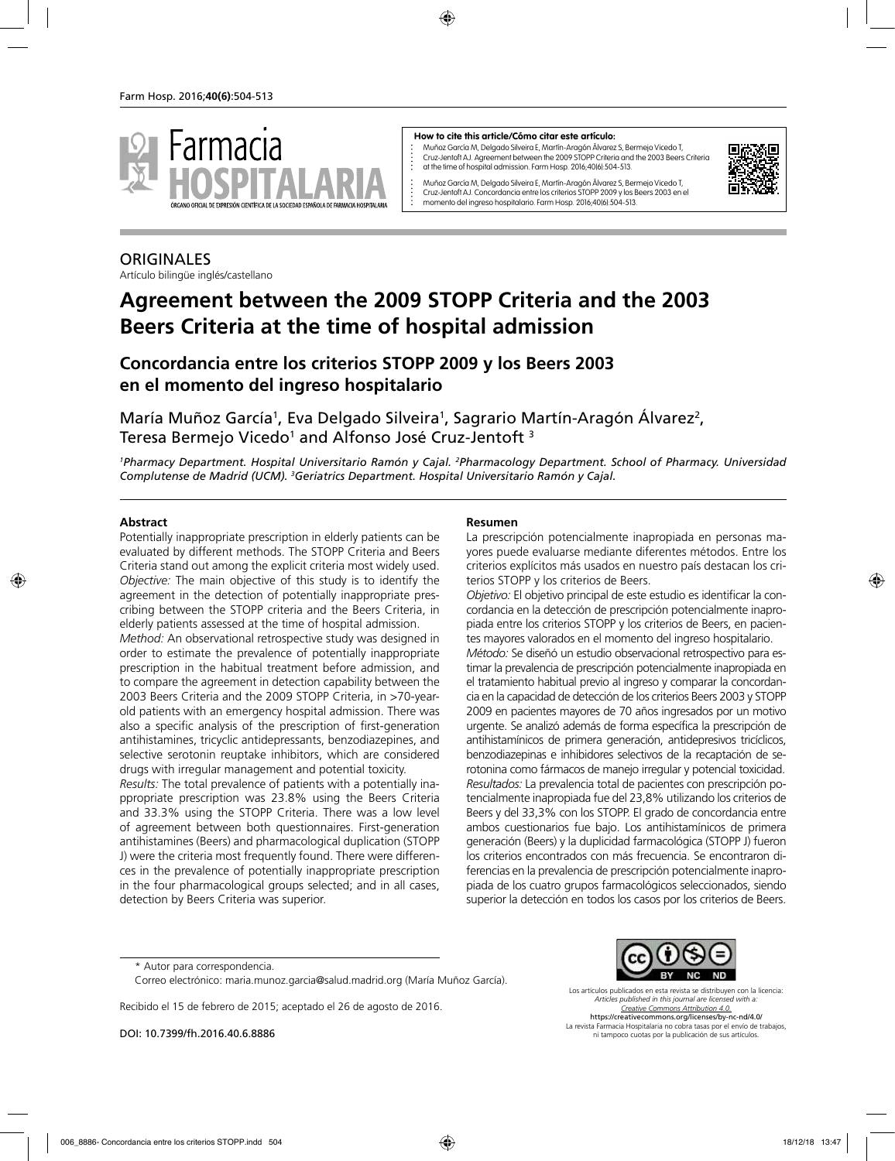

#### **How to cite this article/Cómo citar este artículo:**

Muñoz García M, Delgado Silveira E, Martín-Aragón Álvarez S, Bermejo Vicedo T, Cruz-Jentoft AJ. Agreement between the 2009 STOPP Criteria and the 2003 Beers Criteria at the time of hospital admission. Farm Hosp. 2016;40(6):504-513.



Muñoz García M, Delgado Silveira E, Martín-Aragón Álvarez S, Bermejo Vicedo T, Cruz-Jentoft AJ. Concordancia entre los criterios STOPP 2009 y los Beers 2003 en el momento del ingreso hospitalario. Farm Hosp. 2016;40(6):504-513.

# **ORIGINALES**

Artículo bilingüe inglés/castellano

# **Agreement between the 2009 STOPP Criteria and the 2003 Beers Criteria at the time of hospital admission**

# **Concordancia entre los criterios STOPP 2009 y los Beers 2003 en el momento del ingreso hospitalario**

María Muñoz García<sup>1</sup>, Eva Delgado Silveira<sup>1</sup>, Sagrario Martín-Aragón Álvarez<sup>2</sup>, Teresa Bermejo Vicedo<sup>1</sup> and Alfonso José Cruz-Jentoft <sup>3</sup>

<sup>1</sup>Pharmacy Department. Hospital Universitario Ramón y Cajal. <sup>2</sup>Pharmacology Department. School of Pharmacy. Universidad *Complutense de Madrid (UCM). 3 Geriatrics Department. Hospital Universitario Ramón y Cajal.*

### **Abstract**

Potentially inappropriate prescription in elderly patients can be evaluated by different methods. The STOPP Criteria and Beers Criteria stand out among the explicit criteria most widely used. *Objective:* The main objective of this study is to identify the agreement in the detection of potentially inappropriate prescribing between the STOPP criteria and the Beers Criteria, in elderly patients assessed at the time of hospital admission.

*Method:* An observational retrospective study was designed in order to estimate the prevalence of potentially inappropriate prescription in the habitual treatment before admission, and to compare the agreement in detection capability between the 2003 Beers Criteria and the 2009 STOPP Criteria, in >70-yearold patients with an emergency hospital admission. There was also a specific analysis of the prescription of first-generation antihistamines, tricyclic antidepressants, benzodiazepines, and selective serotonin reuptake inhibitors, which are considered drugs with irregular management and potential toxicity.

*Results:* The total prevalence of patients with a potentially inappropriate prescription was 23.8% using the Beers Criteria and 33.3% using the STOPP Criteria. There was a low level of agreement between both questionnaires. First-generation antihistamines (Beers) and pharmacological duplication (STOPP J) were the criteria most frequently found. There were differences in the prevalence of potentially inappropriate prescription in the four pharmacological groups selected; and in all cases, detection by Beers Criteria was superior.

#### **Resumen**

La prescripción potencialmente inapropiada en personas mayores puede evaluarse mediante diferentes métodos. Entre los criterios explícitos más usados en nuestro país destacan los criterios STOPP y los criterios de Beers.

*Objetivo:* El objetivo principal de este estudio es identificar la concordancia en la detección de prescripción potencialmente inapropiada entre los criterios STOPP y los criterios de Beers, en pacientes mayores valorados en el momento del ingreso hospitalario.

*Método:* Se diseñó un estudio observacional retrospectivo para estimar la prevalencia de prescripción potencialmente inapropiada en el tratamiento habitual previo al ingreso y comparar la concordancia en la capacidad de detección de los criterios Beers 2003 y STOPP 2009 en pacientes mayores de 70 años ingresados por un motivo urgente. Se analizó además de forma específica la prescripción de antihistamínicos de primera generación, antidepresivos tricíclicos, benzodiazepinas e inhibidores selectivos de la recaptación de serotonina como fármacos de manejo irregular y potencial toxicidad. *Resultados:* La prevalencia total de pacientes con prescripción potencialmente inapropiada fue del 23,8% utilizando los criterios de Beers y del 33,3% con los STOPP. El grado de concordancia entre ambos cuestionarios fue bajo. Los antihistamínicos de primera generación (Beers) y la duplicidad farmacológica (STOPP J) fueron los criterios encontrados con más frecuencia. Se encontraron diferencias en la prevalencia de prescripción potencialmente inapropiada de los cuatro grupos farmacológicos seleccionados, siendo superior la detección en todos los casos por los criterios de Beers.

Recibido el 15 de febrero de 2015; aceptado el 26 de agosto de 2016.

DOI: 10.7399/fh.2016.40.6.8886



Los artículos publicados en esta revista se distribuyen con la licencia: *Articles published in this journal are licensed with a: Creative Commons Attribution 4.0.* https://creativecommons.org/licenses/by-nc-nd/4.0/ La revista Farmacia Hospitalaria no cobra tasas por el envío de trabajos, ni tampoco cuotas por la publicación de sus artículos.

<sup>\*</sup> Autor para correspondencia.

Correo electrónico: maria.munoz.garcia@salud.madrid.org (María Muñoz García).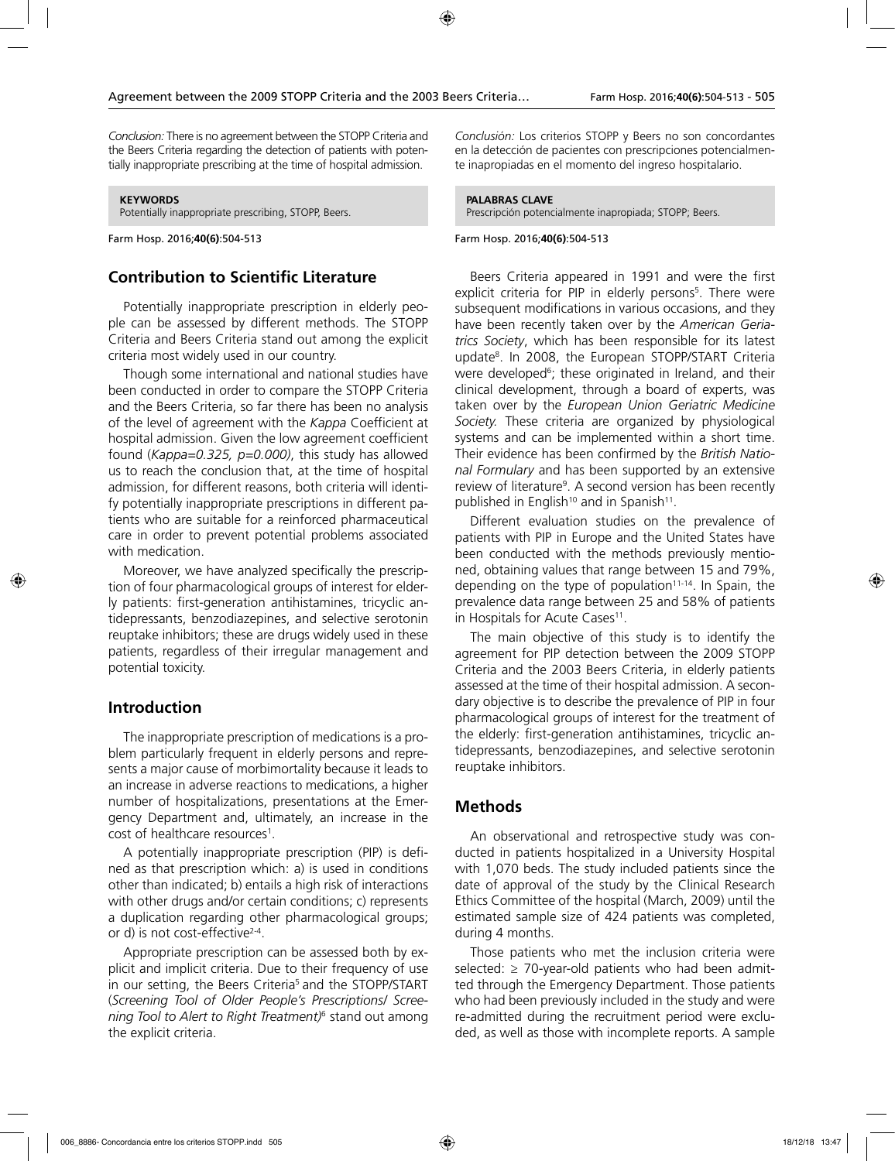*Conclusion:* There is no agreement between the STOPP Criteria and the Beers Criteria regarding the detection of patients with potentially inappropriate prescribing at the time of hospital admission.

#### **KEYWORDS**

Potentially inappropriate prescribing, STOPP, Beers.

Farm Hosp. 2016;**40(6)**:504-513

### **Contribution to Scientific Literature**

Potentially inappropriate prescription in elderly people can be assessed by different methods. The STOPP Criteria and Beers Criteria stand out among the explicit criteria most widely used in our country.

Though some international and national studies have been conducted in order to compare the STOPP Criteria and the Beers Criteria, so far there has been no analysis of the level of agreement with the *Kappa* Coefficient at hospital admission. Given the low agreement coefficient found (*Kappa=0.325, p=0.000)*, this study has allowed us to reach the conclusion that, at the time of hospital admission, for different reasons, both criteria will identify potentially inappropriate prescriptions in different patients who are suitable for a reinforced pharmaceutical care in order to prevent potential problems associated with medication.

Moreover, we have analyzed specifically the prescription of four pharmacological groups of interest for elderly patients: first-generation antihistamines, tricyclic antidepressants, benzodiazepines, and selective serotonin reuptake inhibitors; these are drugs widely used in these patients, regardless of their irregular management and potential toxicity.

### **Introduction**

The inappropriate prescription of medications is a problem particularly frequent in elderly persons and represents a major cause of morbimortality because it leads to an increase in adverse reactions to medications, a higher number of hospitalizations, presentations at the Emergency Department and, ultimately, an increase in the cost of healthcare resources<sup>1</sup>.

A potentially inappropriate prescription (PIP) is defined as that prescription which: a) is used in conditions other than indicated; b) entails a high risk of interactions with other drugs and/or certain conditions; c) represents a duplication regarding other pharmacological groups; or d) is not cost-effective<sup>2-4</sup>.

Appropriate prescription can be assessed both by explicit and implicit criteria. Due to their frequency of use in our setting, the Beers Criteria<sup>5</sup> and the STOPP/START (*Screening Tool of Older People's Prescriptions/ Screening Tool to Alert to Right Treatment)*6 stand out among the explicit criteria.

*Conclusión:* Los criterios STOPP y Beers no son concordantes en la detección de pacientes con prescripciones potencialmente inapropiadas en el momento del ingreso hospitalario.

#### **PALABRAS CLAVE**

Prescripción potencialmente inapropiada; STOPP; Beers.

#### Farm Hosp. 2016;**40(6)**:504-513

Beers Criteria appeared in 1991 and were the first explicit criteria for PIP in elderly persons<sup>5</sup>. There were subsequent modifications in various occasions, and they have been recently taken over by the *American Geriatrics Society*, which has been responsible for its latest update8 . In 2008, the European STOPP/START Criteria were developed<sup>6</sup>; these originated in Ireland, and their clinical development, through a board of experts, was taken over by the *European Union Geriatric Medicine Society.* These criteria are organized by physiological systems and can be implemented within a short time. Their evidence has been confirmed by the *British National Formulary* and has been supported by an extensive review of literature<sup>9</sup>. A second version has been recently published in English<sup>10</sup> and in Spanish<sup>11</sup>.

Different evaluation studies on the prevalence of patients with PIP in Europe and the United States have been conducted with the methods previously mentioned, obtaining values that range between 15 and 79%, depending on the type of population<sup>11-14</sup>. In Spain, the prevalence data range between 25 and 58% of patients in Hospitals for Acute Cases<sup>11</sup>.

The main objective of this study is to identify the agreement for PIP detection between the 2009 STOPP Criteria and the 2003 Beers Criteria, in elderly patients assessed at the time of their hospital admission. A secondary objective is to describe the prevalence of PIP in four pharmacological groups of interest for the treatment of the elderly: first-generation antihistamines, tricyclic antidepressants, benzodiazepines, and selective serotonin reuptake inhibitors.

### **Methods**

An observational and retrospective study was conducted in patients hospitalized in a University Hospital with 1,070 beds. The study included patients since the date of approval of the study by the Clinical Research Ethics Committee of the hospital (March, 2009) until the estimated sample size of 424 patients was completed, during 4 months.

Those patients who met the inclusion criteria were selected:  $\geq$  70-year-old patients who had been admitted through the Emergency Department. Those patients who had been previously included in the study and were re-admitted during the recruitment period were excluded, as well as those with incomplete reports. A sample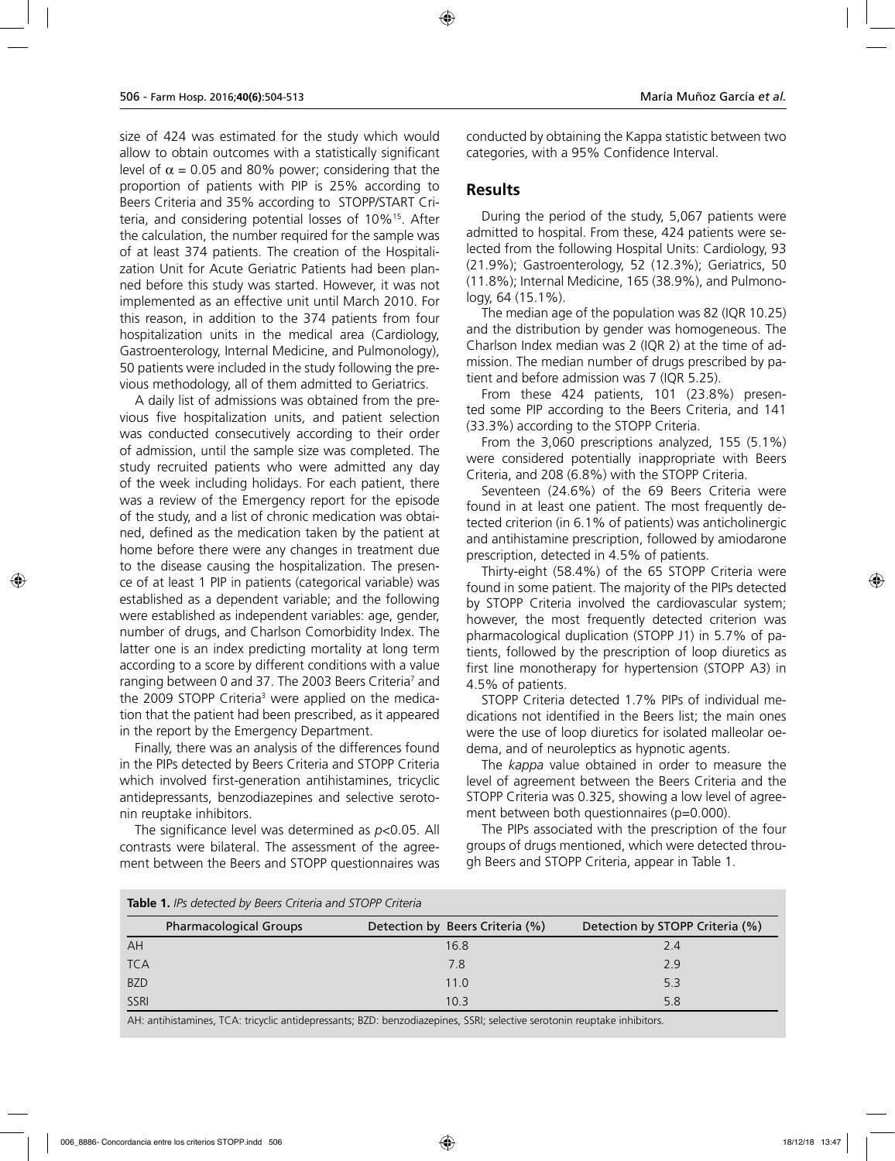size of 424 was estimated for the study which would allow to obtain outcomes with a statistically significant level of  $\alpha$  = 0.05 and 80% power; considering that the proportion of patients with PIP is 25% according to Beers Criteria and 35% according to STOPP/START Criteria, and considering potential losses of 10%15. After the calculation, the number required for the sample was of at least 374 patients. The creation of the Hospitalization Unit for Acute Geriatric Patients had been planned before this study was started. However, it was not implemented as an effective unit until March 2010. For this reason, in addition to the 374 patients from four hospitalization units in the medical area (Cardiology, Gastroenterology, Internal Medicine, and Pulmonology), 50 patients were included in the study following the previous methodology, all of them admitted to Geriatrics.

A daily list of admissions was obtained from the previous five hospitalization units, and patient selection was conducted consecutively according to their order of admission, until the sample size was completed. The study recruited patients who were admitted any day of the week including holidays. For each patient, there was a review of the Emergency report for the episode of the study, and a list of chronic medication was obtained, defined as the medication taken by the patient at home before there were any changes in treatment due to the disease causing the hospitalization. The presence of at least 1 PIP in patients (categorical variable) was established as a dependent variable; and the following were established as independent variables: age, gender, number of drugs, and Charlson Comorbidity Index. The latter one is an index predicting mortality at long term according to a score by different conditions with a value ranging between 0 and 37. The 2003 Beers Criteria<sup>7</sup> and the 2009 STOPP Criteria<sup>3</sup> were applied on the medication that the patient had been prescribed, as it appeared in the report by the Emergency Department.

Finally, there was an analysis of the differences found in the PIPs detected by Beers Criteria and STOPP Criteria which involved first-generation antihistamines, tricyclic antidepressants, benzodiazepines and selective serotonin reuptake inhibitors.

The significance level was determined as *p*<0.05. All contrasts were bilateral. The assessment of the agreement between the Beers and STOPP questionnaires was conducted by obtaining the Kappa statistic between two categories, with a 95% Confidence Interval.

### **Results**

During the period of the study, 5,067 patients were admitted to hospital. From these, 424 patients were selected from the following Hospital Units: Cardiology, 93 (21.9%); Gastroenterology, 52 (12.3%); Geriatrics, 50 (11.8%); Internal Medicine, 165 (38.9%), and Pulmonology, 64 (15.1%).

The median age of the population was 82 (IQR 10.25) and the distribution by gender was homogeneous. The Charlson Index median was 2 (IQR 2) at the time of admission. The median number of drugs prescribed by patient and before admission was 7 (IQR 5.25).

From these 424 patients, 101 (23.8%) presented some PIP according to the Beers Criteria, and 141 (33.3%) according to the STOPP Criteria.

From the 3,060 prescriptions analyzed, 155 (5.1%) were considered potentially inappropriate with Beers Criteria, and 208 (6.8%) with the STOPP Criteria.

Seventeen (24.6%) of the 69 Beers Criteria were found in at least one patient. The most frequently detected criterion (in 6.1% of patients) was anticholinergic and antihistamine prescription, followed by amiodarone prescription, detected in 4.5% of patients.

Thirty-eight (58.4%) of the 65 STOPP Criteria were found in some patient. The majority of the PIPs detected by STOPP Criteria involved the cardiovascular system; however, the most frequently detected criterion was pharmacological duplication (STOPP J1) in 5.7% of patients, followed by the prescription of loop diuretics as first line monotherapy for hypertension (STOPP A3) in 4.5% of patients.

STOPP Criteria detected 1.7% PIPs of individual medications not identified in the Beers list; the main ones were the use of loop diuretics for isolated malleolar oedema, and of neuroleptics as hypnotic agents.

The *kappa* value obtained in order to measure the level of agreement between the Beers Criteria and the STOPP Criteria was 0.325, showing a low level of agreement between both questionnaires (p=0.000).

The PIPs associated with the prescription of the four groups of drugs mentioned, which were detected through Beers and STOPP Criteria, appear in Table 1.

| <b>Table 1.</b> IFS detected by beens Chilera and STOFF Chileria |                                                                                                                         |                                 |  |
|------------------------------------------------------------------|-------------------------------------------------------------------------------------------------------------------------|---------------------------------|--|
| <b>Pharmacological Groups</b>                                    | Detection by Beers Criteria (%)                                                                                         | Detection by STOPP Criteria (%) |  |
| AH                                                               | 16.8                                                                                                                    | 2.4                             |  |
| <b>TCA</b>                                                       | 7.8                                                                                                                     | 2.9                             |  |
| <b>BZD</b>                                                       | 11.0                                                                                                                    | 5.3                             |  |
| SSRI                                                             | 10.3                                                                                                                    | 5.8                             |  |
|                                                                  | AH; aptibirtamines, ICA; triquelis aptidentessants; PZD; benzodiazenines, SSPI; selective seretonin reuntake inhibitors |                                 |  |

**Table 1.** *IPs detected by Beers Criteria and STOPP Criteria* 

A. tricyclic antidepressants, BZD. benzodiazepines, SSNI, selective serotonin reuptake inhibitors.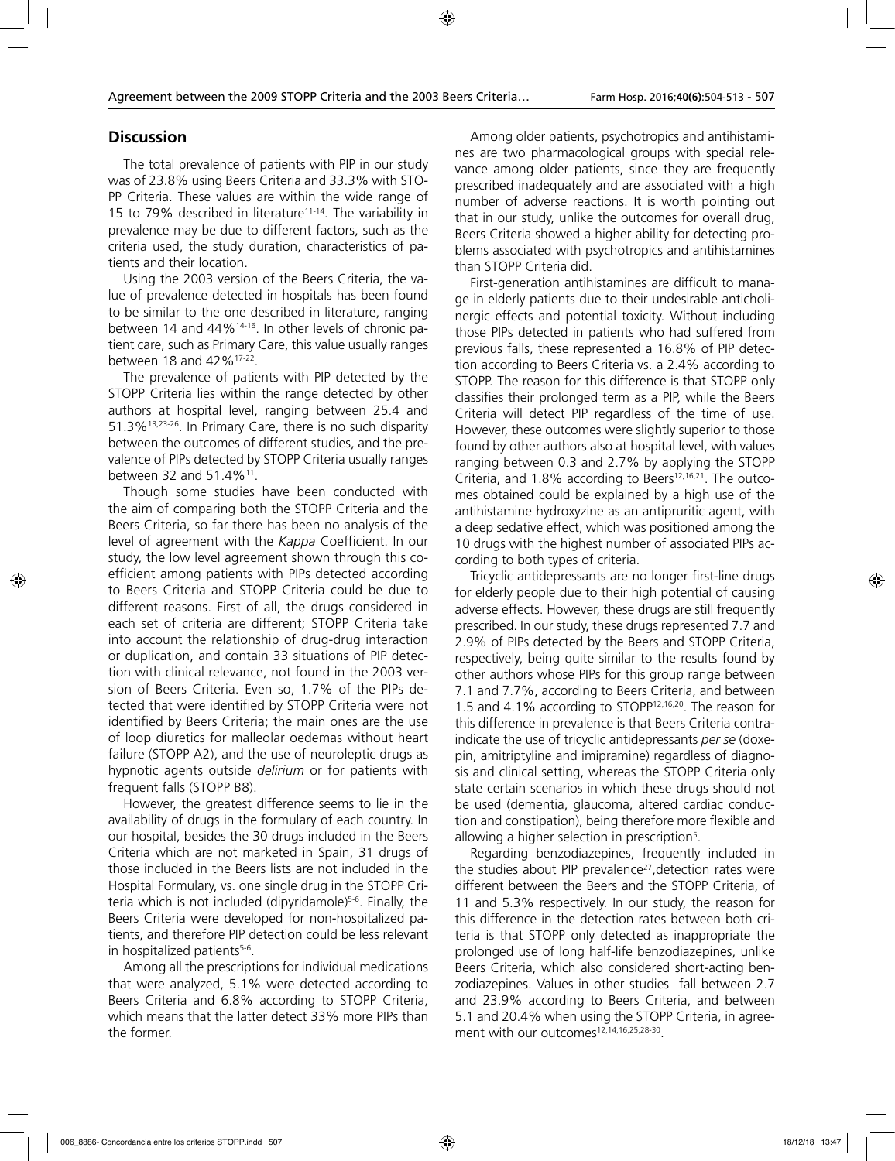### **Discussion**

The total prevalence of patients with PIP in our study was of 23.8% using Beers Criteria and 33.3% with STO-PP Criteria. These values are within the wide range of 15 to 79% described in literature<sup>11-14</sup>. The variability in prevalence may be due to different factors, such as the criteria used, the study duration, characteristics of patients and their location.

Using the 2003 version of the Beers Criteria, the value of prevalence detected in hospitals has been found to be similar to the one described in literature, ranging between 14 and 44%14-16. In other levels of chronic patient care, such as Primary Care, this value usually ranges between 18 and 42%17-22.

The prevalence of patients with PIP detected by the STOPP Criteria lies within the range detected by other authors at hospital level, ranging between 25.4 and 51.3%13,23-26. In Primary Care, there is no such disparity between the outcomes of different studies, and the prevalence of PIPs detected by STOPP Criteria usually ranges between 32 and 51.4%11.

Though some studies have been conducted with the aim of comparing both the STOPP Criteria and the Beers Criteria, so far there has been no analysis of the level of agreement with the *Kappa* Coefficient. In our study, the low level agreement shown through this coefficient among patients with PIPs detected according to Beers Criteria and STOPP Criteria could be due to different reasons. First of all, the drugs considered in each set of criteria are different; STOPP Criteria take into account the relationship of drug-drug interaction or duplication, and contain 33 situations of PIP detection with clinical relevance, not found in the 2003 version of Beers Criteria. Even so, 1.7% of the PIPs detected that were identified by STOPP Criteria were not identified by Beers Criteria; the main ones are the use of loop diuretics for malleolar oedemas without heart failure (STOPP A2), and the use of neuroleptic drugs as hypnotic agents outside *delirium* or for patients with frequent falls (STOPP B8).

However, the greatest difference seems to lie in the availability of drugs in the formulary of each country. In our hospital, besides the 30 drugs included in the Beers Criteria which are not marketed in Spain, 31 drugs of those included in the Beers lists are not included in the Hospital Formulary, vs. one single drug in the STOPP Criteria which is not included (dipyridamole)5-6. Finally, the Beers Criteria were developed for non-hospitalized patients, and therefore PIP detection could be less relevant in hospitalized patients<sup>5-6</sup>.

Among all the prescriptions for individual medications that were analyzed, 5.1% were detected according to Beers Criteria and 6.8% according to STOPP Criteria, which means that the latter detect 33% more PIPs than the former.

Among older patients, psychotropics and antihistamines are two pharmacological groups with special relevance among older patients, since they are frequently prescribed inadequately and are associated with a high number of adverse reactions. It is worth pointing out that in our study, unlike the outcomes for overall drug, Beers Criteria showed a higher ability for detecting problems associated with psychotropics and antihistamines than STOPP Criteria did.

First-generation antihistamines are difficult to manage in elderly patients due to their undesirable anticholinergic effects and potential toxicity. Without including those PIPs detected in patients who had suffered from previous falls, these represented a 16.8% of PIP detection according to Beers Criteria vs. a 2.4% according to STOPP. The reason for this difference is that STOPP only classifies their prolonged term as a PIP, while the Beers Criteria will detect PIP regardless of the time of use. However, these outcomes were slightly superior to those found by other authors also at hospital level, with values ranging between 0.3 and 2.7% by applying the STOPP Criteria, and  $1.8\%$  according to Beers<sup>12,16,21</sup>. The outcomes obtained could be explained by a high use of the antihistamine hydroxyzine as an antipruritic agent, with a deep sedative effect, which was positioned among the 10 drugs with the highest number of associated PIPs according to both types of criteria.

Tricyclic antidepressants are no longer first-line drugs for elderly people due to their high potential of causing adverse effects. However, these drugs are still frequently prescribed. In our study, these drugs represented 7.7 and 2.9% of PIPs detected by the Beers and STOPP Criteria, respectively, being quite similar to the results found by other authors whose PIPs for this group range between 7.1 and 7.7%, according to Beers Criteria, and between 1.5 and 4.1% according to STOPP12,16,20. The reason for this difference in prevalence is that Beers Criteria contraindicate the use of tricyclic antidepressants *per se* (doxepin, amitriptyline and imipramine) regardless of diagnosis and clinical setting, whereas the STOPP Criteria only state certain scenarios in which these drugs should not be used (dementia, glaucoma, altered cardiac conduction and constipation), being therefore more flexible and allowing a higher selection in prescription<sup>5</sup>.

Regarding benzodiazepines, frequently included in the studies about PIP prevalence<sup>27</sup>, detection rates were different between the Beers and the STOPP Criteria, of 11 and 5.3% respectively. In our study, the reason for this difference in the detection rates between both criteria is that STOPP only detected as inappropriate the prolonged use of long half-life benzodiazepines, unlike Beers Criteria, which also considered short-acting benzodiazepines. Values in other studies fall between 2.7 and 23.9% according to Beers Criteria, and between 5.1 and 20.4% when using the STOPP Criteria, in agreement with our outcomes<sup>12,14,16,25,28-30</sup>.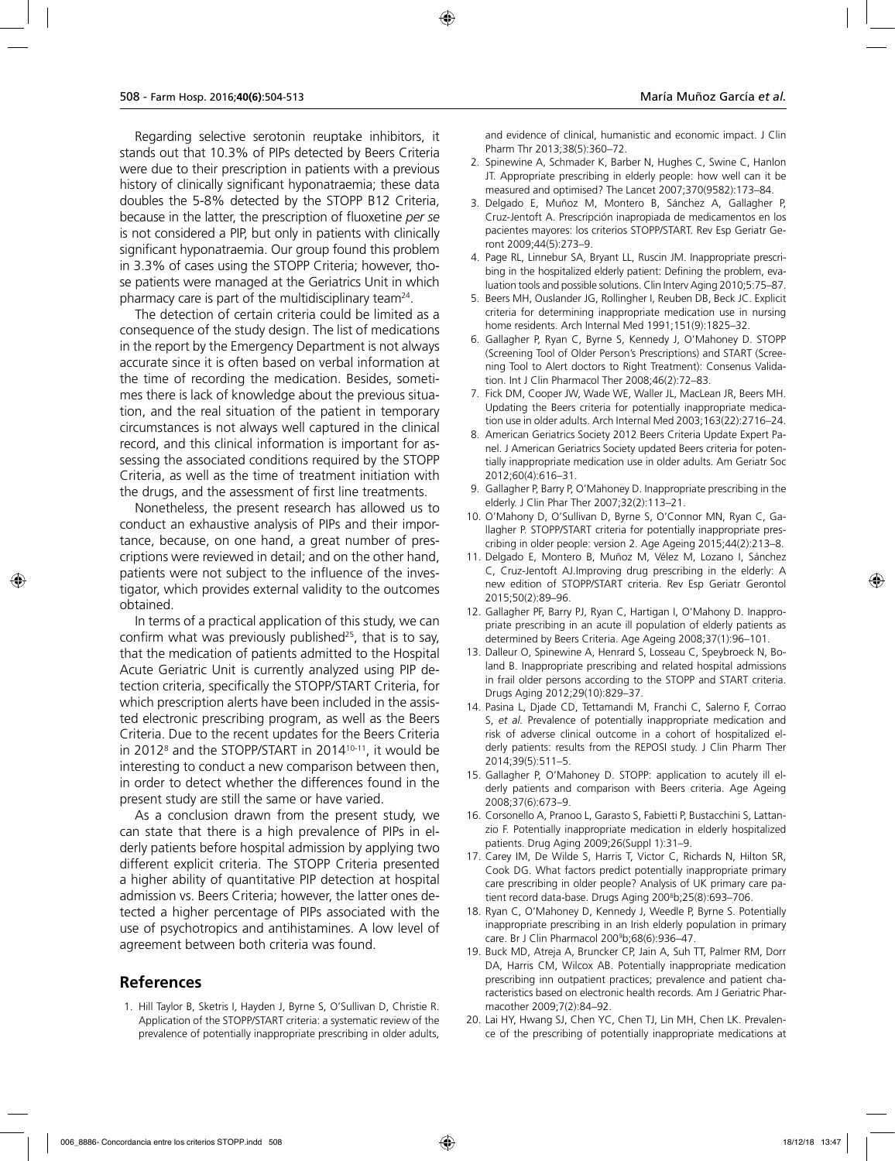Regarding selective serotonin reuptake inhibitors, it stands out that 10.3% of PIPs detected by Beers Criteria were due to their prescription in patients with a previous history of clinically significant hyponatraemia; these data doubles the 5-8% detected by the STOPP B12 Criteria, because in the latter, the prescription of fluoxetine *per se* is not considered a PIP, but only in patients with clinically significant hyponatraemia. Our group found this problem in 3.3% of cases using the STOPP Criteria; however, those patients were managed at the Geriatrics Unit in which pharmacy care is part of the multidisciplinary team24.

The detection of certain criteria could be limited as a consequence of the study design. The list of medications in the report by the Emergency Department is not always accurate since it is often based on verbal information at the time of recording the medication. Besides, sometimes there is lack of knowledge about the previous situation, and the real situation of the patient in temporary circumstances is not always well captured in the clinical record, and this clinical information is important for assessing the associated conditions required by the STOPP Criteria, as well as the time of treatment initiation with the drugs, and the assessment of first line treatments.

Nonetheless, the present research has allowed us to conduct an exhaustive analysis of PIPs and their importance, because, on one hand, a great number of prescriptions were reviewed in detail; and on the other hand, patients were not subject to the influence of the investigator, which provides external validity to the outcomes obtained.

In terms of a practical application of this study, we can confirm what was previously published<sup>25</sup>, that is to say, that the medication of patients admitted to the Hospital Acute Geriatric Unit is currently analyzed using PIP detection criteria, specifically the STOPP/START Criteria, for which prescription alerts have been included in the assisted electronic prescribing program, as well as the Beers Criteria. Due to the recent updates for the Beers Criteria in 2012<sup>8</sup> and the STOPP/START in 2014<sup>10-11</sup>, it would be interesting to conduct a new comparison between then, in order to detect whether the differences found in the present study are still the same or have varied.

As a conclusion drawn from the present study, we can state that there is a high prevalence of PIPs in elderly patients before hospital admission by applying two different explicit criteria. The STOPP Criteria presented a higher ability of quantitative PIP detection at hospital admission vs. Beers Criteria; however, the latter ones detected a higher percentage of PIPs associated with the use of psychotropics and antihistamines. A low level of agreement between both criteria was found.

### **References**

1. Hill Taylor B, Sketris I, Hayden J, Byrne S, O'Sullivan D, Christie R. Application of the STOPP/START criteria: a systematic review of the prevalence of potentially inappropriate prescribing in older adults, and evidence of clinical, humanistic and economic impact. J Clin Pharm Thr 2013;38(5):360–72.

- 2. Spinewine A, Schmader K, Barber N, Hughes C, Swine C, Hanlon JT. Appropriate prescribing in elderly people: how well can it be measured and optimised? The Lancet 2007;370(9582):173–84.
- 3. Delgado E, Muñoz M, Montero B, Sánchez A, Gallagher P, Cruz-Jentoft A. Prescripción inapropiada de medicamentos en los pacientes mayores: los criterios STOPP/START. Rev Esp Geriatr Geront 2009;44(5):273–9.
- 4. Page RL, Linnebur SA, Bryant LL, Ruscin JM. Inappropriate prescribing in the hospitalized elderly patient: Defining the problem, evaluation tools and possible solutions. Clin Interv Aging 2010;5:75–87.
- 5. Beers MH, Ouslander JG, Rollingher I, Reuben DB, Beck JC. Explicit criteria for determining inappropriate medication use in nursing home residents. Arch Internal Med 1991;151(9):1825–32.
- 6. Gallagher P, Ryan C, Byrne S, Kennedy J, O'Mahoney D. STOPP (Screening Tool of Older Person's Prescriptions) and START (Screening Tool to Alert doctors to Right Treatment): Consenus Validation. Int J Clin Pharmacol Ther 2008;46(2):72–83.
- 7. Fick DM, Cooper JW, Wade WE, Waller JL, MacLean JR, Beers MH. Updating the Beers criteria for potentially inappropriate medication use in older adults. Arch Internal Med 2003;163(22):2716–24.
- 8. American Geriatrics Society 2012 Beers Criteria Update Expert Panel. J American Geriatrics Society updated Beers criteria for potentially inappropriate medication use in older adults. Am Geriatr Soc 2012;60(4):616–31.
- 9. Gallagher P, Barry P, O'Mahoney D. Inappropriate prescribing in the elderly. J Clin Phar Ther 2007;32(2):113–21.
- 10. O'Mahony D, O'Sullivan D, Byrne S, O'Connor MN, Ryan C, Gallagher P. STOPP/START criteria for potentially inappropriate prescribing in older people: version 2. Age Ageing 2015;44(2):213–8.
- 11. Delgado E, Montero B, Muñoz M, Vélez M, Lozano I, Sánchez C, Cruz-Jentoft AJ.Improving drug prescribing in the elderly: A new edition of STOPP/START criteria. Rev Esp Geriatr Gerontol 2015;50(2):89–96.
- 12. Gallagher PF, Barry PJ, Ryan C, Hartigan I, O'Mahony D. Inappropriate prescribing in an acute ill population of elderly patients as determined by Beers Criteria. Age Ageing 2008;37(1):96–101.
- 13. Dalleur O, Spinewine A, Henrard S, Losseau C, Speybroeck N, Boland B. Inappropriate prescribing and related hospital admissions in frail older persons according to the STOPP and START criteria. Drugs Aging 2012;29(10):829–37.
- 14. Pasina L, Djade CD, Tettamandi M, Franchi C, Salerno F, Corrao S, *et al.* Prevalence of potentially inappropriate medication and risk of adverse clinical outcome in a cohort of hospitalized elderly patients: results from the REPOSI study. J Clin Pharm Ther 2014;39(5):511–5.
- 15. Gallagher P, O'Mahoney D. STOPP: application to acutely ill elderly patients and comparison with Beers criteria. Age Ageing 2008;37(6):673–9.
- 16. Corsonello A, Pranoo L, Garasto S, Fabietti P, Bustacchini S, Lattanzio F. Potentially inappropriate medication in elderly hospitalized patients. Drug Aging 2009;26(Suppl 1):31–9.
- 17. Carey IM, De Wilde S, Harris T, Victor C, Richards N, Hilton SR, Cook DG. What factors predict potentially inappropriate primary care prescribing in older people? Analysis of UK primary care patient record data-base. Drugs Aging 200<sup>8</sup>b;25(8):693-706.
- 18. Ryan C, O'Mahoney D, Kennedy J, Weedle P, Byrne S. Potentially inappropriate prescribing in an Irish elderly population in primary care. Br J Clin Pharmacol 2009 b;68(6):936–47.
- 19. Buck MD, Atreja A, Bruncker CP, Jain A, Suh TT, Palmer RM, Dorr DA, Harris CM, Wilcox AB. Potentially inappropriate medication prescribing inn outpatient practices; prevalence and patient characteristics based on electronic health records. Am J Geriatric Pharmacother 2009;7(2):84–92.
- 20. Lai HY, Hwang SJ, Chen YC, Chen TJ, Lin MH, Chen LK. Prevalence of the prescribing of potentially inappropriate medications at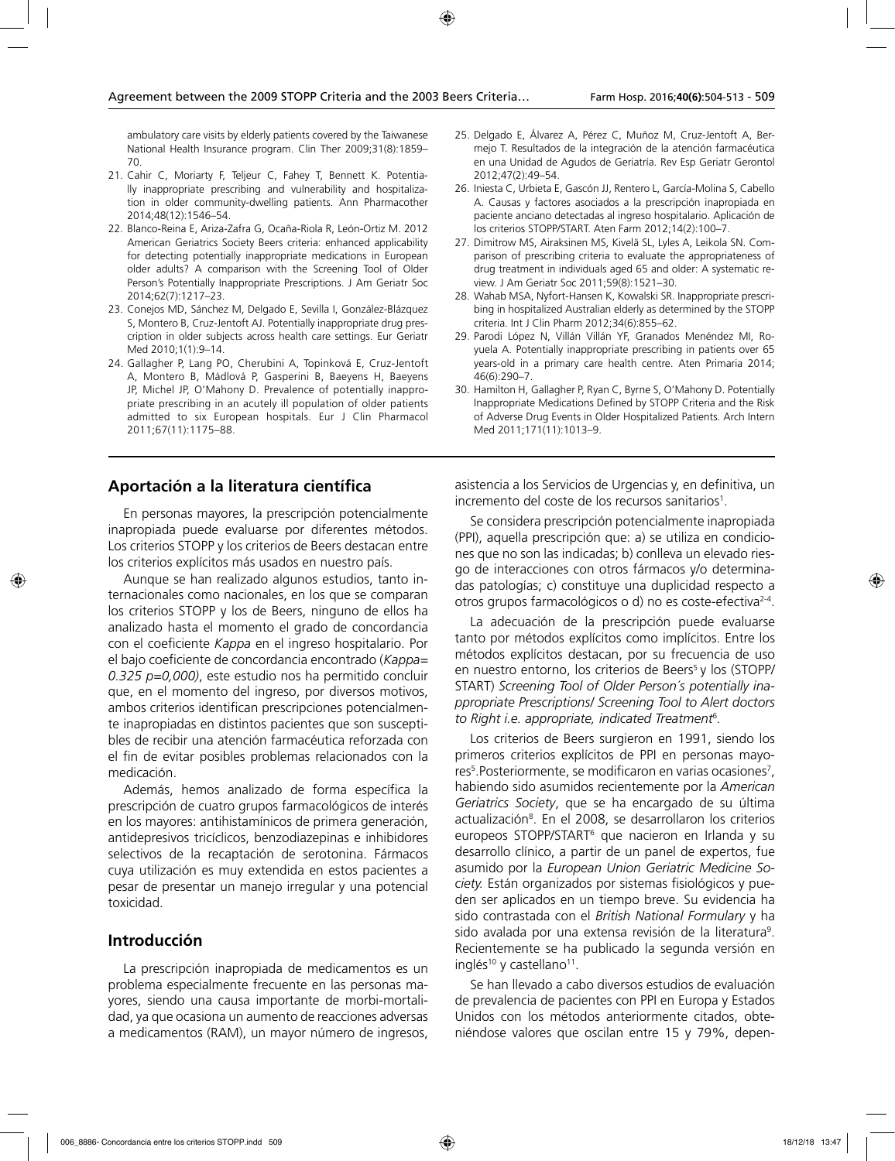ambulatory care visits by elderly patients covered by the Taiwanese National Health Insurance program. Clin Ther 2009;31(8):1859– 70.

- 21. Cahir C, Moriarty F, Teljeur C, Fahey T, Bennett K. Potentially inappropriate prescribing and vulnerability and hospitalization in older community-dwelling patients. Ann Pharmacother 2014;48(12):1546–54.
- 22. Blanco-Reina E, Ariza-Zafra G, Ocaña-Riola R, León-Ortiz M. 2012 American Geriatrics Society Beers criteria: enhanced applicability for detecting potentially inappropriate medications in European older adults? A comparison with the Screening Tool of Older Person's Potentially Inappropriate Prescriptions. J Am Geriatr Soc 2014;62(7):1217–23.
- 23. Conejos MD, Sánchez M, Delgado E, Sevilla I, González-Blázquez S, Montero B, Cruz-Jentoft AJ. Potentially inappropriate drug prescription in older subjects across health care settings. Eur Geriatr Med 2010;1(1):9–14.
- 24. Gallagher P, Lang PO, Cherubini A, Topinková E, Cruz-Jentoft A, Montero B, Mádlová P, Gasperini B, Baeyens H, Baeyens JP, Michel JP, O'Mahony D. Prevalence of potentially inappropriate prescribing in an acutely ill population of older patients admitted to six European hospitals. Eur J Clin Pharmacol 2011;67(11):1175–88.
- **Aportación a la literatura científica**

En personas mayores, la prescripción potencialmente inapropiada puede evaluarse por diferentes métodos. Los criterios STOPP y los criterios de Beers destacan entre los criterios explícitos más usados en nuestro país.

Aunque se han realizado algunos estudios, tanto internacionales como nacionales, en los que se comparan los criterios STOPP y los de Beers, ninguno de ellos ha analizado hasta el momento el grado de concordancia con el coeficiente *Kappa* en el ingreso hospitalario. Por el bajo coeficiente de concordancia encontrado (*Kappa= 0.325 p=0,000)*, este estudio nos ha permitido concluir que, en el momento del ingreso, por diversos motivos, ambos criterios identifican prescripciones potencialmente inapropiadas en distintos pacientes que son susceptibles de recibir una atención farmacéutica reforzada con el fin de evitar posibles problemas relacionados con la medicación.

Además, hemos analizado de forma específica la prescripción de cuatro grupos farmacológicos de interés en los mayores: antihistamínicos de primera generación, antidepresivos tricíclicos, benzodiazepinas e inhibidores selectivos de la recaptación de serotonina. Fármacos cuya utilización es muy extendida en estos pacientes a pesar de presentar un manejo irregular y una potencial toxicidad.

### **Introducción**

La prescripción inapropiada de medicamentos es un problema especialmente frecuente en las personas mayores, siendo una causa importante de morbi-mortalidad, ya que ocasiona un aumento de reacciones adversas a medicamentos (RAM), un mayor número de ingresos,

- 25. Delgado E, Álvarez A, Pérez C, Muñoz M, Cruz-Jentoft A, Bermejo T. Resultados de la integración de la atención farmacéutica en una Unidad de Agudos de Geriatría. Rev Esp Geriatr Gerontol 2012;47(2):49–54.
- 26. Iniesta C, Urbieta E, Gascón JJ, Rentero L, García-Molina S, Cabello A. Causas y factores asociados a la prescripción inapropiada en paciente anciano detectadas al ingreso hospitalario. Aplicación de los criterios STOPP/START. Aten Farm 2012;14(2):100–7.
- 27. Dimitrow MS, Airaksinen MS, Kivelä SL, Lyles A, Leikola SN. Comparison of prescribing criteria to evaluate the appropriateness of drug treatment in individuals aged 65 and older: A systematic review. J Am Geriatr Soc 2011;59(8):1521–30.
- 28. Wahab MSA, Nyfort-Hansen K, Kowalski SR. Inappropriate prescribing in hospitalized Australian elderly as determined by the STOPP criteria. Int J Clin Pharm 2012;34(6):855–62.
- 29. Parodi López N, Villán Villán YF, Granados Menéndez MI, Royuela A. Potentially inappropriate prescribing in patients over 65 years-old in a primary care health centre. Aten Primaria 2014; 46(6):290–7.
- 30. Hamilton H, Gallagher P, Ryan C, Byrne S, O'Mahony D. Potentially Inappropriate Medications Defined by STOPP Criteria and the Risk of Adverse Drug Events in Older Hospitalized Patients. Arch Intern Med 2011;171(11):1013–9.

asistencia a los Servicios de Urgencias y, en definitiva, un incremento del coste de los recursos sanitarios<sup>1</sup>.

Se considera prescripción potencialmente inapropiada (PPI), aquella prescripción que: a) se utiliza en condiciones que no son las indicadas; b) conlleva un elevado riesgo de interacciones con otros fármacos y/o determinadas patologías; c) constituye una duplicidad respecto a otros grupos farmacológicos o d) no es coste-efectiva2-4.

La adecuación de la prescripción puede evaluarse tanto por métodos explícitos como implícitos. Entre los métodos explícitos destacan, por su frecuencia de uso en nuestro entorno, los criterios de Beers<sup>5</sup> y los (STOPP/ START) *Screening Tool of Older Person´s potentially inappropriate Prescriptions/ Screening Tool to Alert doctors to Right i.e. appropriate, indicated Treatment*<sup>6</sup> *.*

Los criterios de Beers surgieron en 1991, siendo los primeros criterios explícitos de PPI en personas mayores<sup>5</sup>. Posteriormente, se modificaron en varias ocasiones<sup>7</sup>, habiendo sido asumidos recientemente por la *American Geriatrics Society*, que se ha encargado de su última actualización<sup>8</sup>. En el 2008, se desarrollaron los criterios europeos STOPP/START6 que nacieron en Irlanda y su desarrollo clínico, a partir de un panel de expertos, fue asumido por la *European Union Geriatric Medicine Society.* Están organizados por sistemas fisiológicos y pueden ser aplicados en un tiempo breve. Su evidencia ha sido contrastada con el *British National Formulary* y ha sido avalada por una extensa revisión de la literatura<sup>9</sup>. Recientemente se ha publicado la segunda versión en inglés<sup>10</sup> y castellano<sup>11</sup>.

Se han llevado a cabo diversos estudios de evaluación de prevalencia de pacientes con PPI en Europa y Estados Unidos con los métodos anteriormente citados, obteniéndose valores que oscilan entre 15 y 79%, depen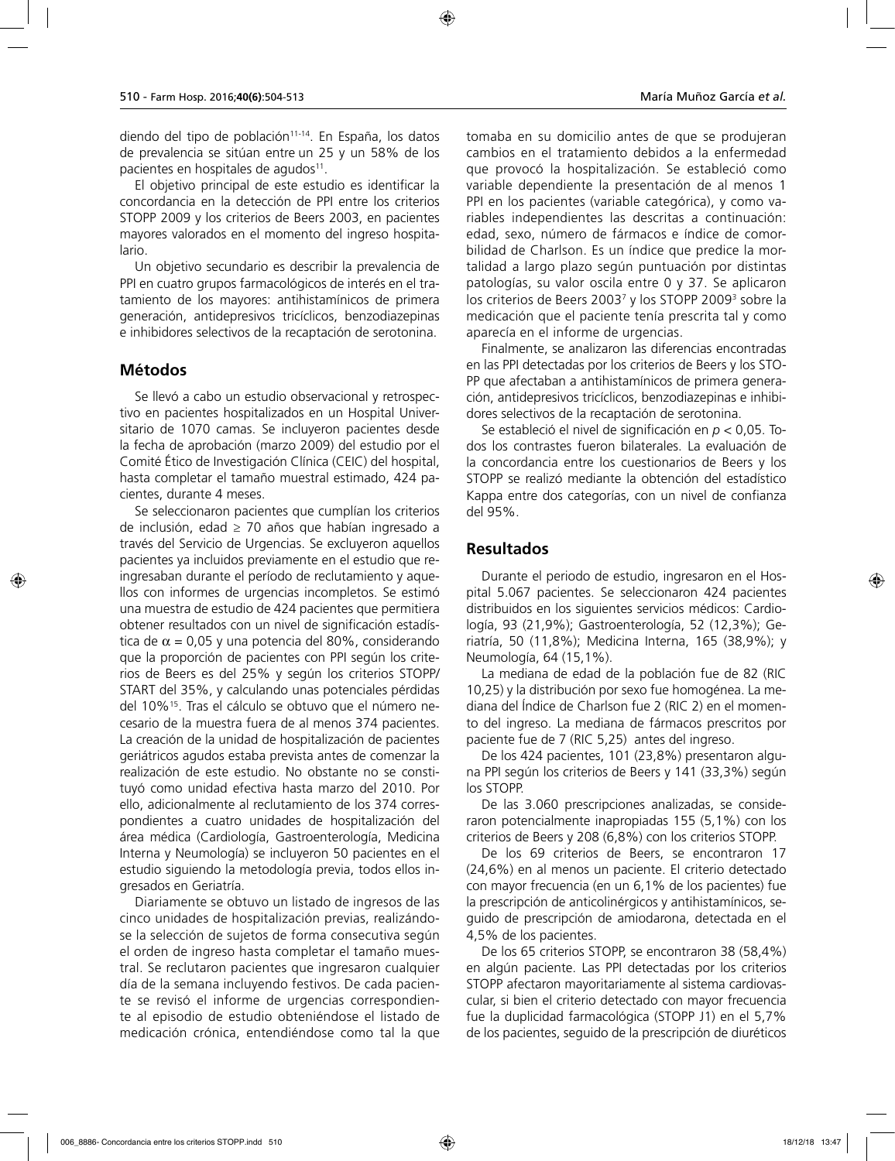diendo del tipo de población<sup>11-14</sup>. En España, los datos de prevalencia se sitúan entre un 25 y un 58% de los pacientes en hospitales de agudos<sup>11</sup>.

El objetivo principal de este estudio es identificar la concordancia en la detección de PPI entre los criterios STOPP 2009 y los criterios de Beers 2003, en pacientes mayores valorados en el momento del ingreso hospitalario.

Un objetivo secundario es describir la prevalencia de PPI en cuatro grupos farmacológicos de interés en el tratamiento de los mayores: antihistamínicos de primera generación, antidepresivos tricíclicos, benzodiazepinas e inhibidores selectivos de la recaptación de serotonina.

### **Métodos**

Se llevó a cabo un estudio observacional y retrospectivo en pacientes hospitalizados en un Hospital Universitario de 1070 camas. Se incluyeron pacientes desde la fecha de aprobación (marzo 2009) del estudio por el Comité Ético de Investigación Clínica (CEIC) del hospital, hasta completar el tamaño muestral estimado, 424 pacientes, durante 4 meses.

Se seleccionaron pacientes que cumplían los criterios de inclusión, edad ≥ 70 años que habían ingresado a través del Servicio de Urgencias. Se excluyeron aquellos pacientes ya incluidos previamente en el estudio que reingresaban durante el período de reclutamiento y aquellos con informes de urgencias incompletos. Se estimó una muestra de estudio de 424 pacientes que permitiera obtener resultados con un nivel de significación estadística de  $\alpha$  = 0,05 y una potencia del 80%, considerando que la proporción de pacientes con PPI según los criterios de Beers es del 25% y según los criterios STOPP/ START del 35%, y calculando unas potenciales pérdidas del 10%15. Tras el cálculo se obtuvo que el número necesario de la muestra fuera de al menos 374 pacientes. La creación de la unidad de hospitalización de pacientes geriátricos agudos estaba prevista antes de comenzar la realización de este estudio. No obstante no se constituyó como unidad efectiva hasta marzo del 2010. Por ello, adicionalmente al reclutamiento de los 374 correspondientes a cuatro unidades de hospitalización del área médica (Cardiología, Gastroenterología, Medicina Interna y Neumología) se incluyeron 50 pacientes en el estudio siguiendo la metodología previa, todos ellos ingresados en Geriatría.

Diariamente se obtuvo un listado de ingresos de las cinco unidades de hospitalización previas, realizándose la selección de sujetos de forma consecutiva según el orden de ingreso hasta completar el tamaño muestral. Se reclutaron pacientes que ingresaron cualquier día de la semana incluyendo festivos. De cada paciente se revisó el informe de urgencias correspondiente al episodio de estudio obteniéndose el listado de medicación crónica, entendiéndose como tal la que tomaba en su domicilio antes de que se produjeran cambios en el tratamiento debidos a la enfermedad que provocó la hospitalización. Se estableció como variable dependiente la presentación de al menos 1 PPI en los pacientes (variable categórica), y como variables independientes las descritas a continuación: edad, sexo, número de fármacos e índice de comorbilidad de Charlson. Es un índice que predice la mortalidad a largo plazo según puntuación por distintas patologías, su valor oscila entre 0 y 37. Se aplicaron los criterios de Beers 20037 y los STOPP 20093 sobre la medicación que el paciente tenía prescrita tal y como aparecía en el informe de urgencias.

Finalmente, se analizaron las diferencias encontradas en las PPI detectadas por los criterios de Beers y los STO-PP que afectaban a antihistamínicos de primera generación, antidepresivos tricíclicos, benzodiazepinas e inhibidores selectivos de la recaptación de serotonina.

Se estableció el nivel de significación en *p* < 0,05. Todos los contrastes fueron bilaterales. La evaluación de la concordancia entre los cuestionarios de Beers y los STOPP se realizó mediante la obtención del estadístico Kappa entre dos categorías, con un nivel de confianza del 95%.

### **Resultados**

Durante el periodo de estudio, ingresaron en el Hospital 5.067 pacientes. Se seleccionaron 424 pacientes distribuidos en los siguientes servicios médicos: Cardiología, 93 (21,9%); Gastroenterología, 52 (12,3%); Geriatría, 50 (11,8%); Medicina Interna, 165 (38,9%); y Neumología, 64 (15,1%).

La mediana de edad de la población fue de 82 (RIC 10,25) y la distribución por sexo fue homogénea. La mediana del Índice de Charlson fue 2 (RIC 2) en el momento del ingreso. La mediana de fármacos prescritos por paciente fue de 7 (RIC 5,25) antes del ingreso.

De los 424 pacientes, 101 (23,8%) presentaron alguna PPI según los criterios de Beers y 141 (33,3%) según los STOPP.

De las 3.060 prescripciones analizadas, se consideraron potencialmente inapropiadas 155 (5,1%) con los criterios de Beers y 208 (6,8%) con los criterios STOPP.

De los 69 criterios de Beers, se encontraron 17 (24,6%) en al menos un paciente. El criterio detectado con mayor frecuencia (en un 6,1% de los pacientes) fue la prescripción de anticolinérgicos y antihistamínicos, seguido de prescripción de amiodarona, detectada en el 4,5% de los pacientes.

De los 65 criterios STOPP, se encontraron 38 (58,4%) en algún paciente. Las PPI detectadas por los criterios STOPP afectaron mayoritariamente al sistema cardiovascular, si bien el criterio detectado con mayor frecuencia fue la duplicidad farmacológica (STOPP J1) en el 5,7% de los pacientes, seguido de la prescripción de diuréticos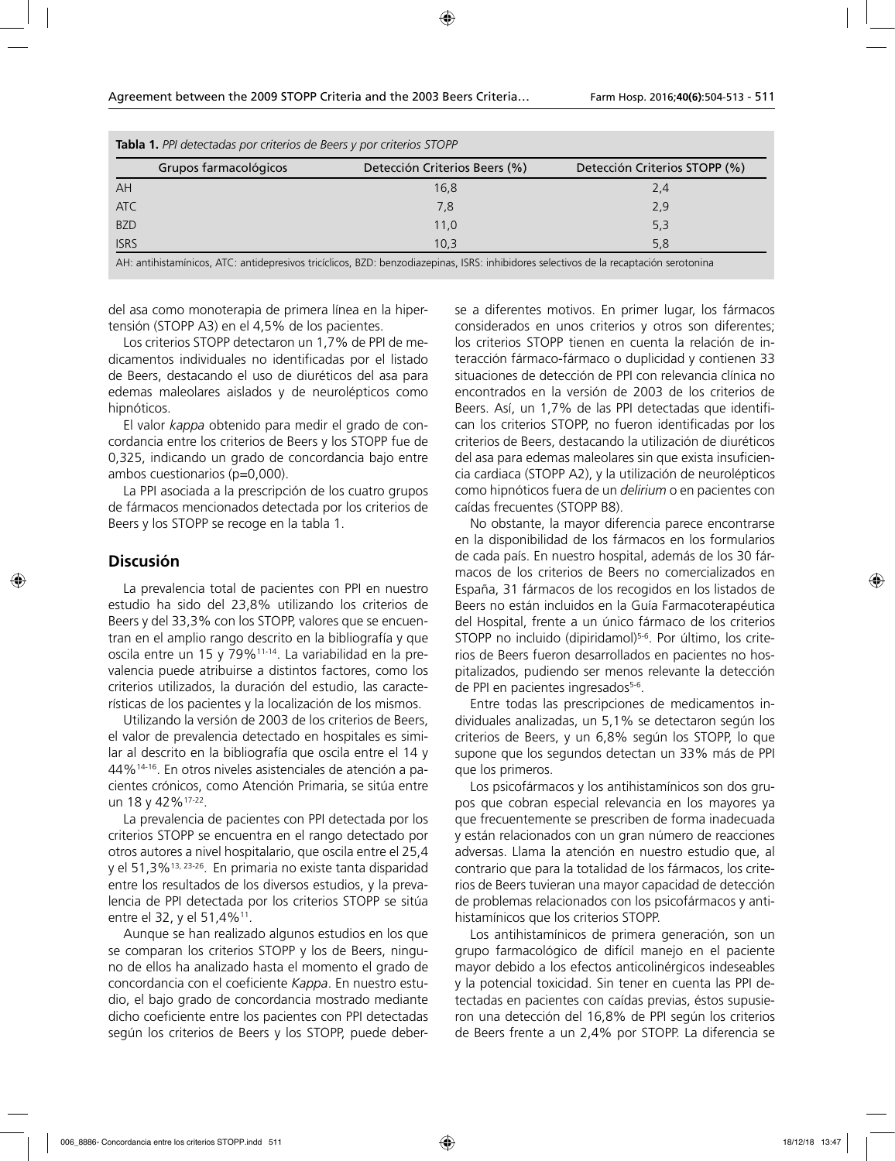| <b>Radia 1.</b> There clauds for chients at been y for chients 31011 |                                                                                                                                        |                               |  |
|----------------------------------------------------------------------|----------------------------------------------------------------------------------------------------------------------------------------|-------------------------------|--|
| Grupos farmacológicos                                                | Detección Criterios Beers (%)                                                                                                          | Detección Criterios STOPP (%) |  |
| AH                                                                   | 16,8                                                                                                                                   | 2,4                           |  |
| <b>ATC</b>                                                           | 7,8                                                                                                                                    | 2,9                           |  |
| <b>BZD</b>                                                           | 11,0                                                                                                                                   | 5,3                           |  |
| <b>ISRS</b>                                                          | 10.3                                                                                                                                   | 5.8                           |  |
|                                                                      | AH: antihistamínicos, ATC: antidepresivos tricíclicos, BZD: benzodiazepinas, ISRS: inhibidores selectivos de la recaptación serotonina |                               |  |

**Tabla 1.** *PPI detectadas por criterios de Beers y por criterios STOPP*

del asa como monoterapia de primera línea en la hipertensión (STOPP A3) en el 4,5% de los pacientes.

Los criterios STOPP detectaron un 1,7% de PPI de medicamentos individuales no identificadas por el listado de Beers, destacando el uso de diuréticos del asa para edemas maleolares aislados y de neurolépticos como hipnóticos.

El valor *kappa* obtenido para medir el grado de concordancia entre los criterios de Beers y los STOPP fue de 0,325, indicando un grado de concordancia bajo entre ambos cuestionarios (p=0,000).

La PPI asociada a la prescripción de los cuatro grupos de fármacos mencionados detectada por los criterios de Beers y los STOPP se recoge en la tabla 1.

### **Discusión**

La prevalencia total de pacientes con PPI en nuestro estudio ha sido del 23,8% utilizando los criterios de Beers y del 33,3% con los STOPP, valores que se encuentran en el amplio rango descrito en la bibliografía y que oscila entre un 15 y 79%11-14. La variabilidad en la prevalencia puede atribuirse a distintos factores, como los criterios utilizados, la duración del estudio, las características de los pacientes y la localización de los mismos.

Utilizando la versión de 2003 de los criterios de Beers, el valor de prevalencia detectado en hospitales es similar al descrito en la bibliografía que oscila entre el 14 y 44%14-16. En otros niveles asistenciales de atención a pacientes crónicos, como Atención Primaria, se sitúa entre un 18 y 42%17-22.

La prevalencia de pacientes con PPI detectada por los criterios STOPP se encuentra en el rango detectado por otros autores a nivel hospitalario, que oscila entre el 25,4 y el 51,3%13, 23-26. En primaria no existe tanta disparidad entre los resultados de los diversos estudios, y la prevalencia de PPI detectada por los criterios STOPP se sitúa entre el 32, y el 51,4%<sup>11</sup>.

Aunque se han realizado algunos estudios en los que se comparan los criterios STOPP y los de Beers, ninguno de ellos ha analizado hasta el momento el grado de concordancia con el coeficiente *Kappa*. En nuestro estudio, el bajo grado de concordancia mostrado mediante dicho coeficiente entre los pacientes con PPI detectadas según los criterios de Beers y los STOPP, puede deberse a diferentes motivos. En primer lugar, los fármacos considerados en unos criterios y otros son diferentes; los criterios STOPP tienen en cuenta la relación de interacción fármaco-fármaco o duplicidad y contienen 33 situaciones de detección de PPI con relevancia clínica no encontrados en la versión de 2003 de los criterios de Beers. Así, un 1,7% de las PPI detectadas que identifican los criterios STOPP, no fueron identificadas por los criterios de Beers, destacando la utilización de diuréticos del asa para edemas maleolares sin que exista insuficiencia cardiaca (STOPP A2), y la utilización de neurolépticos como hipnóticos fuera de un *delirium* o en pacientes con caídas frecuentes (STOPP B8).

No obstante, la mayor diferencia parece encontrarse en la disponibilidad de los fármacos en los formularios de cada país. En nuestro hospital, además de los 30 fármacos de los criterios de Beers no comercializados en España, 31 fármacos de los recogidos en los listados de Beers no están incluidos en la Guía Farmacoterapéutica del Hospital, frente a un único fármaco de los criterios STOPP no incluido (dipiridamol)<sup>5-6</sup>. Por último, los criterios de Beers fueron desarrollados en pacientes no hospitalizados, pudiendo ser menos relevante la detección de PPI en pacientes ingresados<sup>5-6</sup>.

Entre todas las prescripciones de medicamentos individuales analizadas, un 5,1% se detectaron según los criterios de Beers, y un 6,8% según los STOPP, lo que supone que los segundos detectan un 33% más de PPI que los primeros.

Los psicofármacos y los antihistamínicos son dos grupos que cobran especial relevancia en los mayores ya que frecuentemente se prescriben de forma inadecuada y están relacionados con un gran número de reacciones adversas. Llama la atención en nuestro estudio que, al contrario que para la totalidad de los fármacos, los criterios de Beers tuvieran una mayor capacidad de detección de problemas relacionados con los psicofármacos y antihistamínicos que los criterios STOPP.

Los antihistamínicos de primera generación, son un grupo farmacológico de difícil manejo en el paciente mayor debido a los efectos anticolinérgicos indeseables y la potencial toxicidad. Sin tener en cuenta las PPI detectadas en pacientes con caídas previas, éstos supusieron una detección del 16,8% de PPI según los criterios de Beers frente a un 2,4% por STOPP. La diferencia se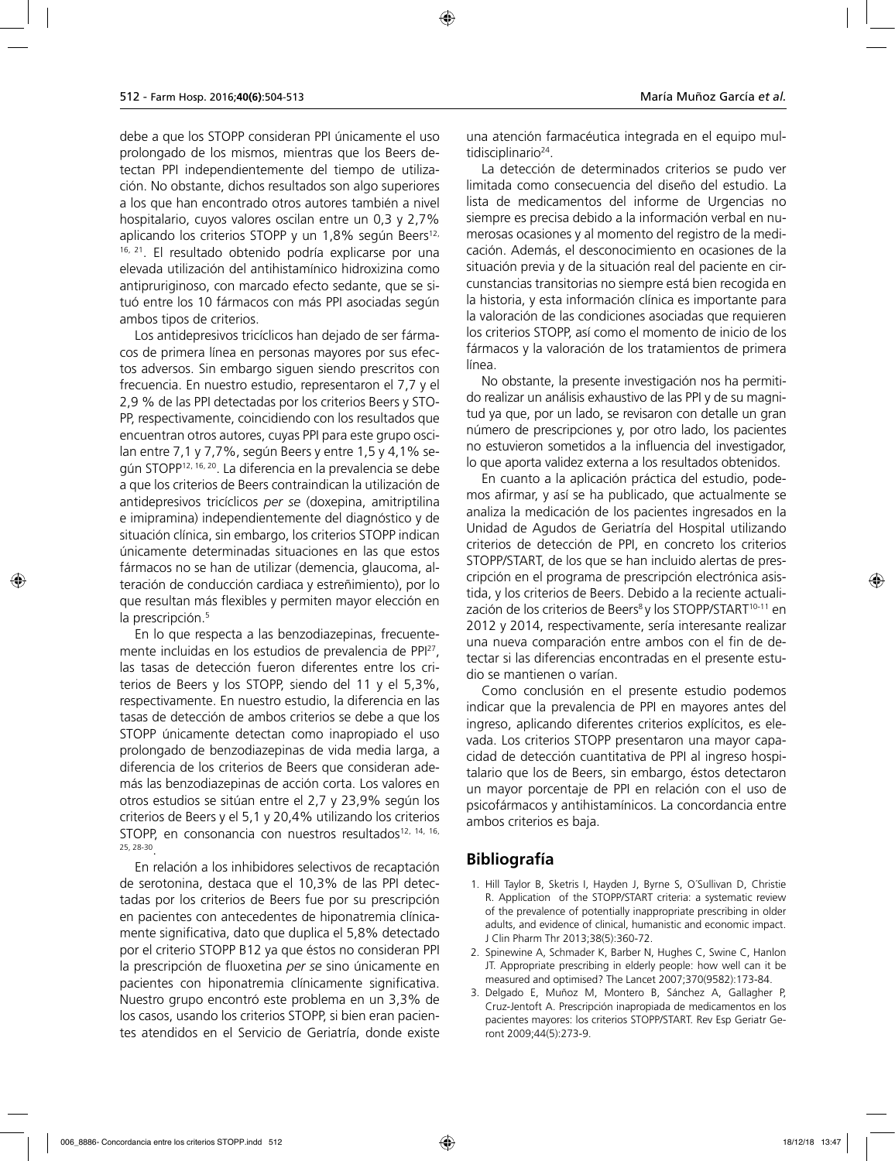debe a que los STOPP consideran PPI únicamente el uso prolongado de los mismos, mientras que los Beers detectan PPI independientemente del tiempo de utilización. No obstante, dichos resultados son algo superiores a los que han encontrado otros autores también a nivel hospitalario, cuyos valores oscilan entre un 0,3 y 2,7% aplicando los criterios STOPP y un  $1,8\%$  según Beers<sup>12,</sup> 16, 21. El resultado obtenido podría explicarse por una elevada utilización del antihistamínico hidroxizina como antipruriginoso, con marcado efecto sedante, que se situó entre los 10 fármacos con más PPI asociadas según ambos tipos de criterios.

Los antidepresivos tricíclicos han dejado de ser fármacos de primera línea en personas mayores por sus efectos adversos. Sin embargo siguen siendo prescritos con frecuencia. En nuestro estudio, representaron el 7,7 y el 2,9 % de las PPI detectadas por los criterios Beers y STO-PP, respectivamente, coincidiendo con los resultados que encuentran otros autores, cuyas PPI para este grupo oscilan entre 7,1 y 7,7%, según Beers y entre 1,5 y 4,1% según STOPP12, 16, 20. La diferencia en la prevalencia se debe a que los criterios de Beers contraindican la utilización de antidepresivos tricíclicos *per se* (doxepina, amitriptilina e imipramina) independientemente del diagnóstico y de situación clínica, sin embargo, los criterios STOPP indican únicamente determinadas situaciones en las que estos fármacos no se han de utilizar (demencia, glaucoma, alteración de conducción cardiaca y estreñimiento), por lo que resultan más flexibles y permiten mayor elección en la prescripción.<sup>5</sup>

En lo que respecta a las benzodiazepinas, frecuentemente incluidas en los estudios de prevalencia de PPI27, las tasas de detección fueron diferentes entre los criterios de Beers y los STOPP, siendo del 11 y el 5,3%, respectivamente. En nuestro estudio, la diferencia en las tasas de detección de ambos criterios se debe a que los STOPP únicamente detectan como inapropiado el uso prolongado de benzodiazepinas de vida media larga, a diferencia de los criterios de Beers que consideran además las benzodiazepinas de acción corta. Los valores en otros estudios se sitúan entre el 2,7 y 23,9% según los criterios de Beers y el 5,1 y 20,4% utilizando los criterios STOPP, en consonancia con nuestros resultados<sup>12, 14, 16,</sup> 25, 28-30.

En relación a los inhibidores selectivos de recaptación de serotonina, destaca que el 10,3% de las PPI detectadas por los criterios de Beers fue por su prescripción en pacientes con antecedentes de hiponatremia clínicamente significativa, dato que duplica el 5,8% detectado por el criterio STOPP B12 ya que éstos no consideran PPI la prescripción de fluoxetina *per se* sino únicamente en pacientes con hiponatremia clínicamente significativa. Nuestro grupo encontró este problema en un 3,3% de los casos, usando los criterios STOPP, si bien eran pacientes atendidos en el Servicio de Geriatría, donde existe

una atención farmacéutica integrada en el equipo multidisciplinario<sup>24</sup>.

La detección de determinados criterios se pudo ver limitada como consecuencia del diseño del estudio. La lista de medicamentos del informe de Urgencias no siempre es precisa debido a la información verbal en numerosas ocasiones y al momento del registro de la medicación. Además, el desconocimiento en ocasiones de la situación previa y de la situación real del paciente en circunstancias transitorias no siempre está bien recogida en la historia, y esta información clínica es importante para la valoración de las condiciones asociadas que requieren los criterios STOPP, así como el momento de inicio de los fármacos y la valoración de los tratamientos de primera línea.

No obstante, la presente investigación nos ha permitido realizar un análisis exhaustivo de las PPI y de su magnitud ya que, por un lado, se revisaron con detalle un gran número de prescripciones y, por otro lado, los pacientes no estuvieron sometidos a la influencia del investigador, lo que aporta validez externa a los resultados obtenidos.

En cuanto a la aplicación práctica del estudio, podemos afirmar, y así se ha publicado, que actualmente se analiza la medicación de los pacientes ingresados en la Unidad de Agudos de Geriatría del Hospital utilizando criterios de detección de PPI, en concreto los criterios STOPP/START, de los que se han incluido alertas de prescripción en el programa de prescripción electrónica asistida, y los criterios de Beers. Debido a la reciente actualización de los criterios de Beers<sup>8</sup> y los STOPP/START<sup>10-11</sup> en 2012 y 2014, respectivamente, sería interesante realizar una nueva comparación entre ambos con el fin de detectar si las diferencias encontradas en el presente estudio se mantienen o varían.

Como conclusión en el presente estudio podemos indicar que la prevalencia de PPI en mayores antes del ingreso, aplicando diferentes criterios explícitos, es elevada. Los criterios STOPP presentaron una mayor capacidad de detección cuantitativa de PPI al ingreso hospitalario que los de Beers, sin embargo, éstos detectaron un mayor porcentaje de PPI en relación con el uso de psicofármacos y antihistamínicos. La concordancia entre ambos criterios es baja.

## **Bibliografía**

- 1. Hill Taylor B, Sketris I, Hayden J, Byrne S, O´Sullivan D, Christie R. Application of the STOPP/START criteria: a systematic review of the prevalence of potentially inappropriate prescribing in older adults, and evidence of clinical, humanistic and economic impact. J Clin Pharm Thr 2013;38(5):360-72.
- 2. Spinewine A, Schmader K, Barber N, Hughes C, Swine C, Hanlon JT. Appropriate prescribing in elderly people: how well can it be measured and optimised? The Lancet 2007;370(9582):173-84.
- 3. Delgado E, Muñoz M, Montero B, Sánchez A, Gallagher P, Cruz-Jentoft A. Prescripción inapropiada de medicamentos en los pacientes mayores: los criterios STOPP/START. Rev Esp Geriatr Geront 2009;44(5):273-9.